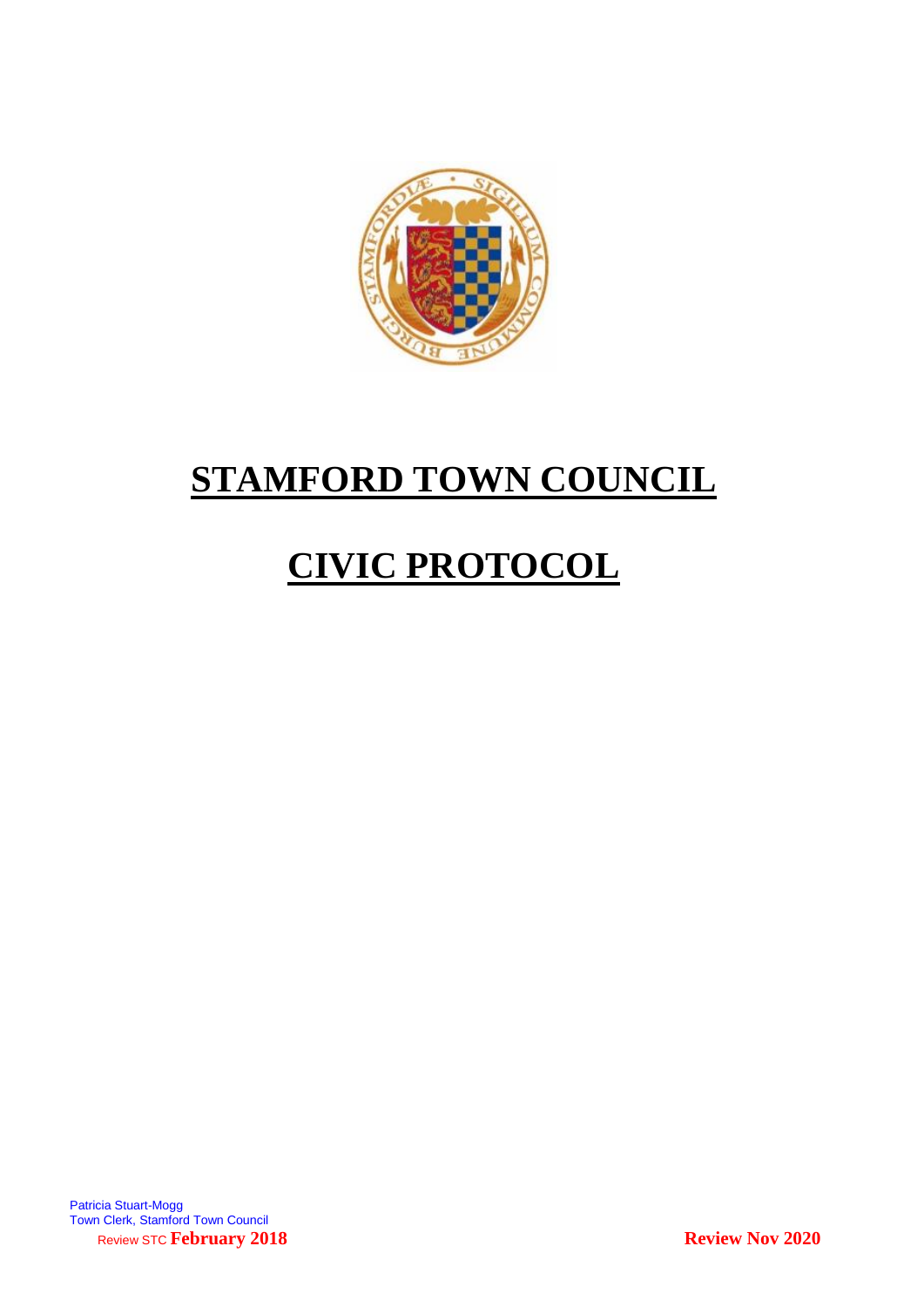

# **STAMFORD TOWN COUNCIL**

# **CIVIC PROTOCOL**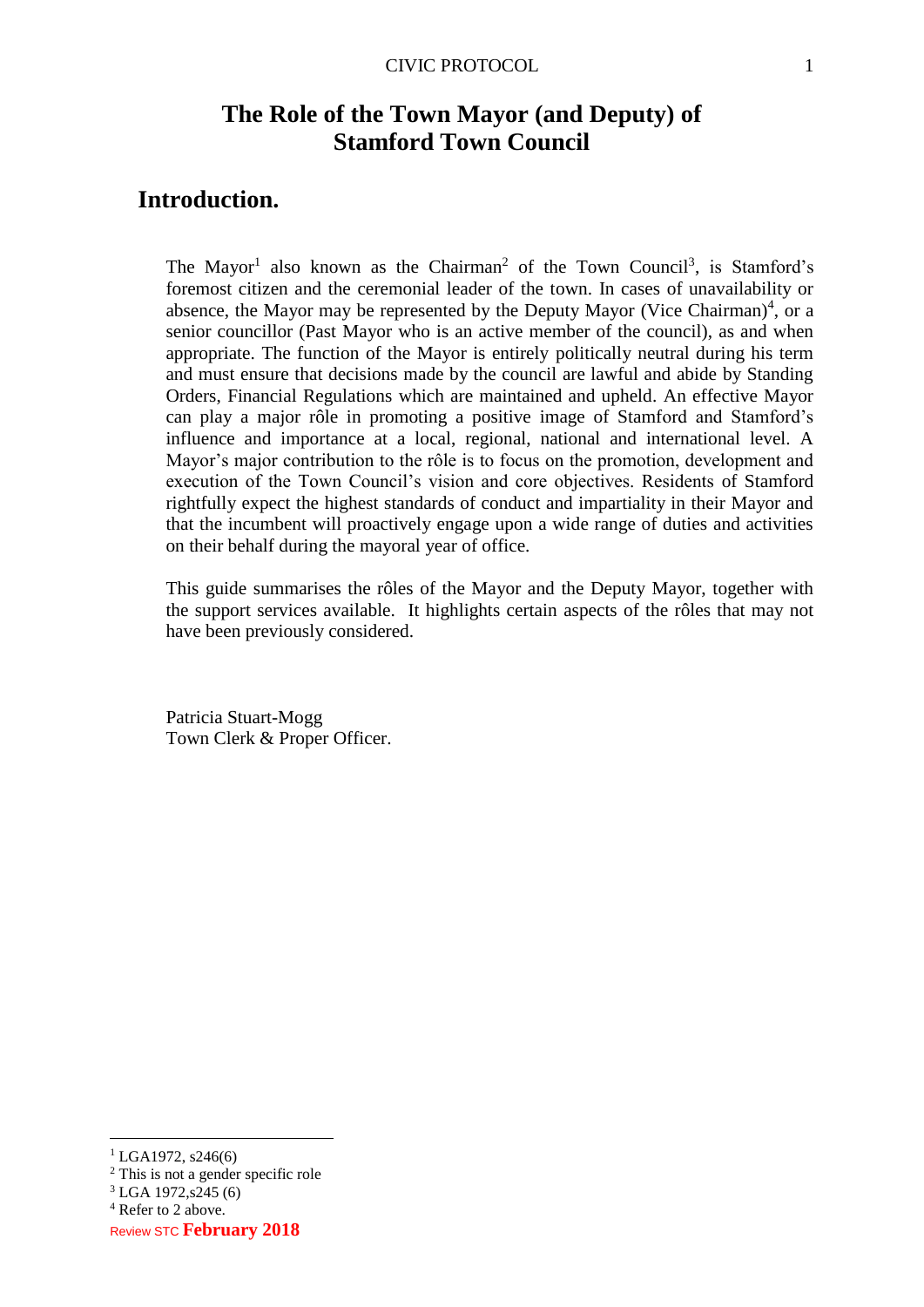# **The Role of the Town Mayor (and Deputy) of Stamford Town Council**

# **Introduction.**

The Mayor<sup>1</sup> also known as the Chairman<sup>2</sup> of the Town Council<sup>3</sup>, is Stamford's foremost citizen and the ceremonial leader of the town. In cases of unavailability or absence, the Mayor may be represented by the Deputy Mayor (Vice Chairman)<sup>4</sup>, or a senior councillor (Past Mayor who is an active member of the council), as and when appropriate. The function of the Mayor is entirely politically neutral during his term and must ensure that decisions made by the council are lawful and abide by Standing Orders, Financial Regulations which are maintained and upheld. An effective Mayor can play a major rôle in promoting a positive image of Stamford and Stamford's influence and importance at a local, regional, national and international level. A Mayor's major contribution to the rôle is to focus on the promotion, development and execution of the Town Council's vision and core objectives. Residents of Stamford rightfully expect the highest standards of conduct and impartiality in their Mayor and that the incumbent will proactively engage upon a wide range of duties and activities on their behalf during the mayoral year of office.

This guide summarises the rôles of the Mayor and the Deputy Mayor, together with the support services available. It highlights certain aspects of the rôles that may not have been previously considered.

Patricia Stuart-Mogg Town Clerk & Proper Officer.

 $\overline{a}$ 

 $1$  LGA1972, s246(6)

<sup>2</sup> This is not a gender specific role

 $3$  LGA 1972, s245 (6)

<sup>&</sup>lt;sup>4</sup> Refer to 2 above.

Review STC **February 2018**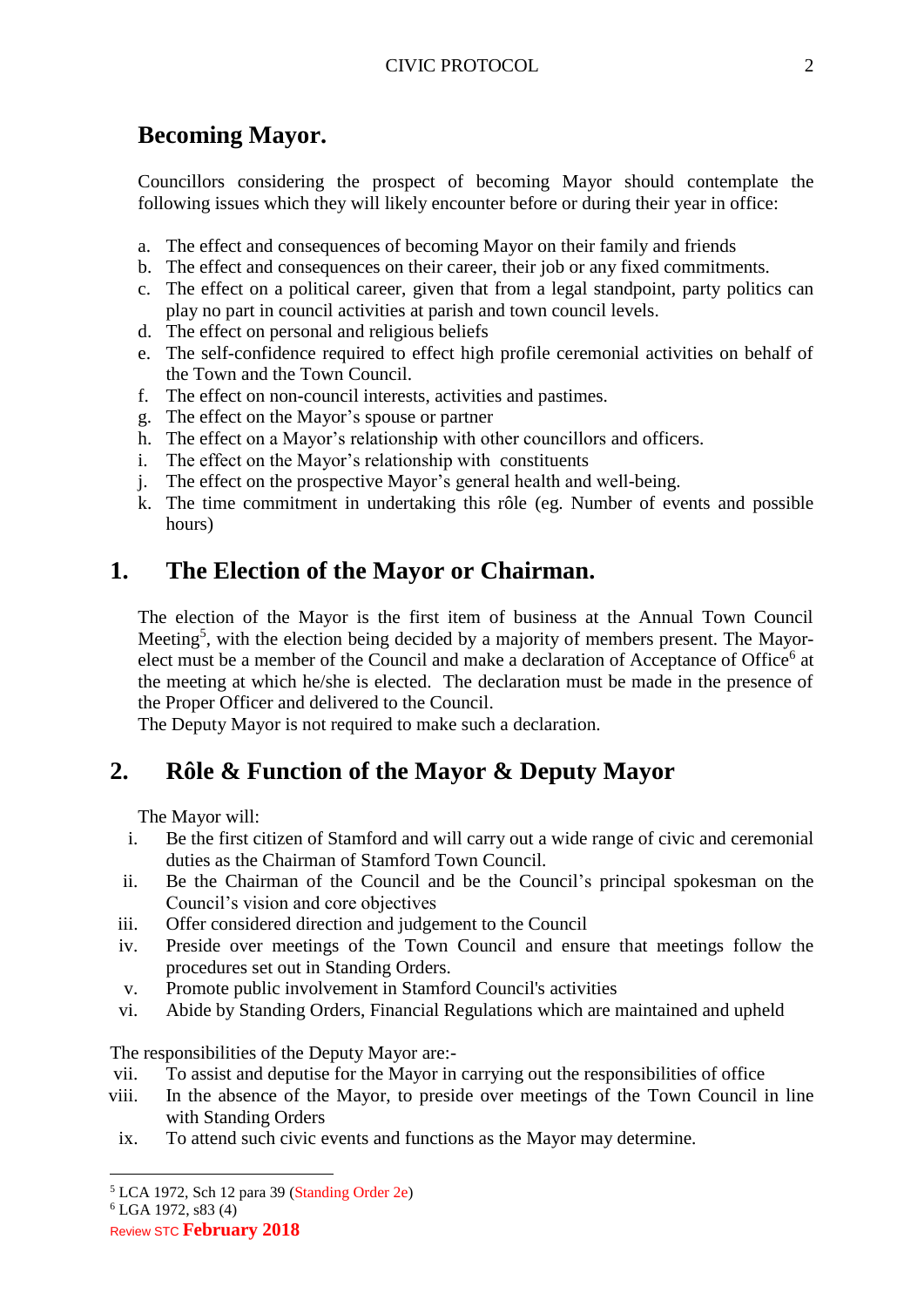# **Becoming Mayor.**

Councillors considering the prospect of becoming Mayor should contemplate the following issues which they will likely encounter before or during their year in office:

- a. The effect and consequences of becoming Mayor on their family and friends
- b. The effect and consequences on their career, their job or any fixed commitments.
- c. The effect on a political career, given that from a legal standpoint, party politics can play no part in council activities at parish and town council levels.
- d. The effect on personal and religious beliefs
- e. The self-confidence required to effect high profile ceremonial activities on behalf of the Town and the Town Council.
- f. The effect on non-council interests, activities and pastimes.
- g. The effect on the Mayor's spouse or partner
- h. The effect on a Mayor's relationship with other councillors and officers.
- i. The effect on the Mayor's relationship with constituents
- j. The effect on the prospective Mayor's general health and well-being.
- k. The time commitment in undertaking this rôle (eg. Number of events and possible hours)

# **1. The Election of the Mayor or Chairman.**

The election of the Mayor is the first item of business at the Annual Town Council Meeting<sup>5</sup>, with the election being decided by a majority of members present. The Mayorelect must be a member of the Council and make a declaration of Acceptance of Office<sup>6</sup> at the meeting at which he/she is elected. The declaration must be made in the presence of the Proper Officer and delivered to the Council.

The Deputy Mayor is not required to make such a declaration.

# **2. Rôle & Function of the Mayor & Deputy Mayor**

The Mayor will:

- i. Be the first citizen of Stamford and will carry out a wide range of civic and ceremonial duties as the Chairman of Stamford Town Council.
- ii. Be the Chairman of the Council and be the Council's principal spokesman on the Council's vision and core objectives
- iii. Offer considered direction and judgement to the Council
- iv. Preside over meetings of the Town Council and ensure that meetings follow the procedures set out in Standing Orders.
- v. Promote public involvement in Stamford Council's activities
- vi. Abide by Standing Orders, Financial Regulations which are maintained and upheld

The responsibilities of the Deputy Mayor are:-

- vii. To assist and deputise for the Mayor in carrying out the responsibilities of office
- viii. In the absence of the Mayor, to preside over meetings of the Town Council in line with Standing Orders
- ix. To attend such civic events and functions as the Mayor may determine.

<sup>6</sup> LGA 1972, s83 (4)

 $\overline{a}$ 

Review STC **February 2018**

<sup>5</sup> LCA 1972, Sch 12 para 39 (Standing Order 2e)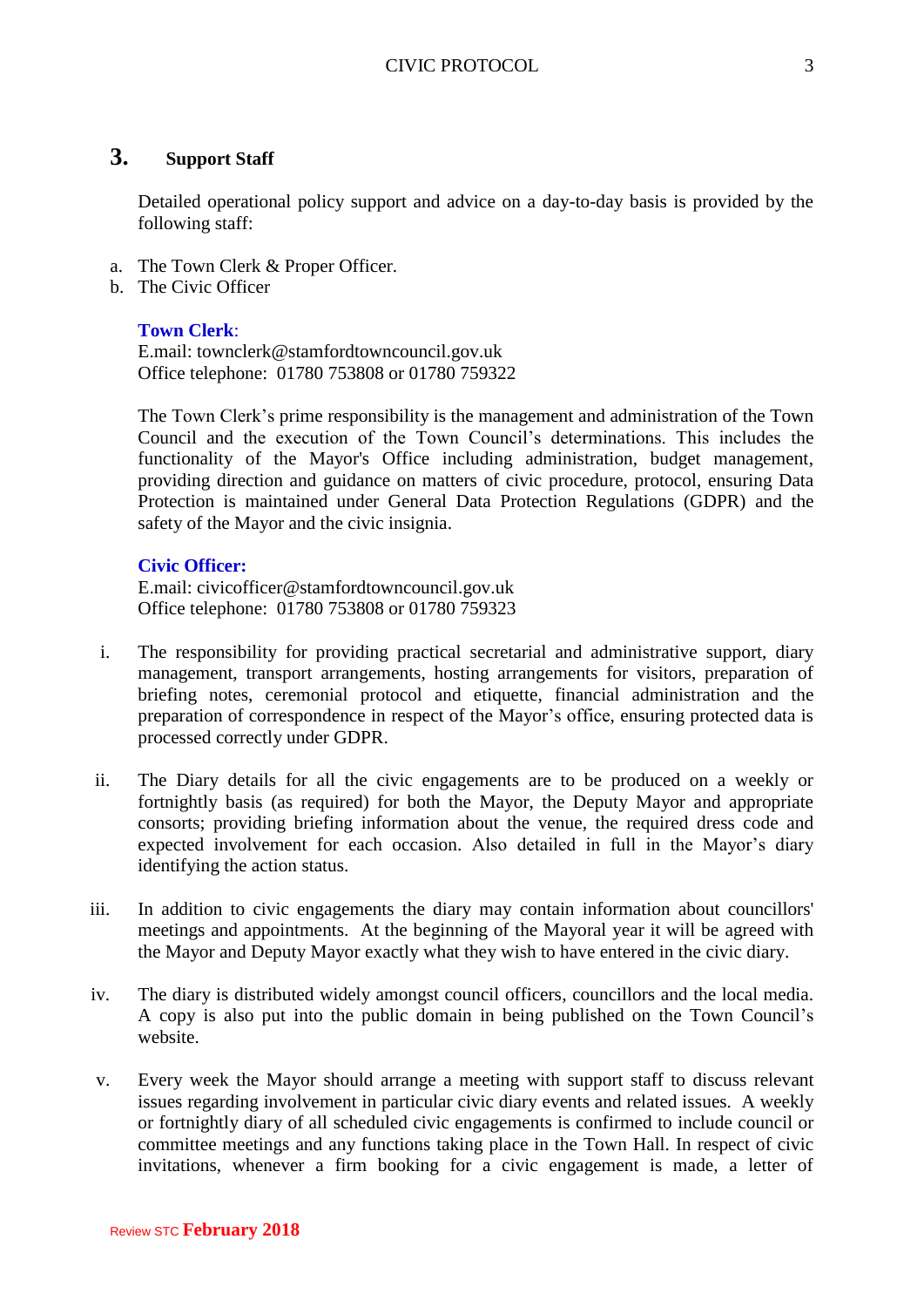### **3. Support Staff**

Detailed operational policy support and advice on a day-to-day basis is provided by the following staff:

- a. The Town Clerk & Proper Officer.
- b. The Civic Officer

#### **Town Clerk**:

E.mail: townclerk@stamfordtowncouncil.gov.uk Office telephone: 01780 753808 or 01780 759322

The Town Clerk's prime responsibility is the management and administration of the Town Council and the execution of the Town Council's determinations. This includes the functionality of the Mayor's Office including administration, budget management, providing direction and guidance on matters of civic procedure, protocol, ensuring Data Protection is maintained under General Data Protection Regulations (GDPR) and the safety of the Mayor and the civic insignia.

#### **Civic Officer:**

E.mail: civicofficer@stamfordtowncouncil.gov.uk Office telephone: 01780 753808 or 01780 759323

- i. The responsibility for providing practical secretarial and administrative support, diary management, transport arrangements, hosting arrangements for visitors, preparation of briefing notes, ceremonial protocol and etiquette, financial administration and the preparation of correspondence in respect of the Mayor's office, ensuring protected data is processed correctly under GDPR.
- ii. The Diary details for all the civic engagements are to be produced on a weekly or fortnightly basis (as required) for both the Mayor, the Deputy Mayor and appropriate consorts; providing briefing information about the venue, the required dress code and expected involvement for each occasion. Also detailed in full in the Mayor's diary identifying the action status.
- iii. In addition to civic engagements the diary may contain information about councillors' meetings and appointments. At the beginning of the Mayoral year it will be agreed with the Mayor and Deputy Mayor exactly what they wish to have entered in the civic diary.
- iv. The diary is distributed widely amongst council officers, councillors and the local media. A copy is also put into the public domain in being published on the Town Council's website.
- v. Every week the Mayor should arrange a meeting with support staff to discuss relevant issues regarding involvement in particular civic diary events and related issues. A weekly or fortnightly diary of all scheduled civic engagements is confirmed to include council or committee meetings and any functions taking place in the Town Hall. In respect of civic invitations, whenever a firm booking for a civic engagement is made, a letter of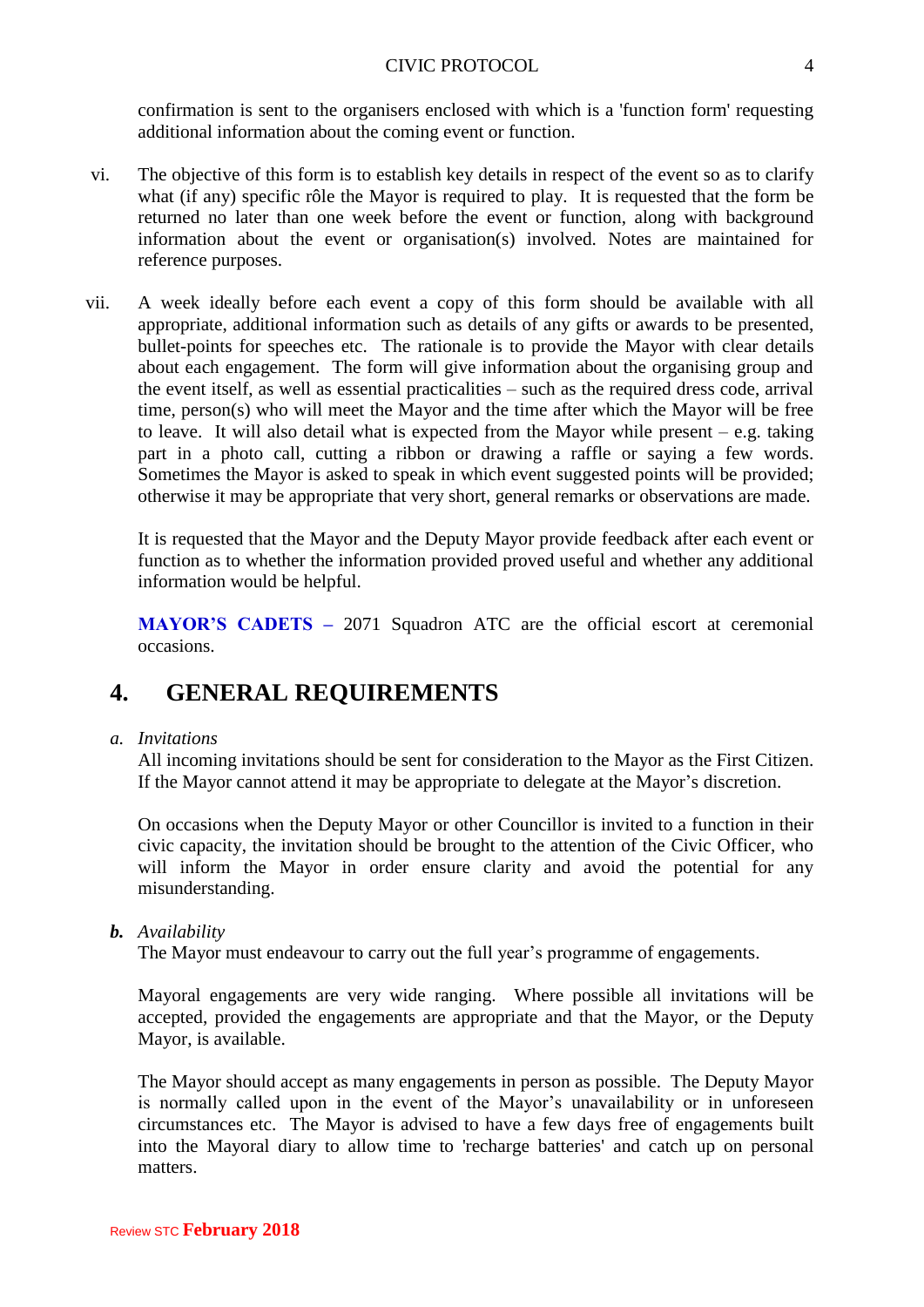confirmation is sent to the organisers enclosed with which is a 'function form' requesting additional information about the coming event or function.

- vi. The objective of this form is to establish key details in respect of the event so as to clarify what (if any) specific rôle the Mayor is required to play. It is requested that the form be returned no later than one week before the event or function, along with background information about the event or organisation(s) involved. Notes are maintained for reference purposes.
- vii. A week ideally before each event a copy of this form should be available with all appropriate, additional information such as details of any gifts or awards to be presented, bullet-points for speeches etc. The rationale is to provide the Mayor with clear details about each engagement. The form will give information about the organising group and the event itself, as well as essential practicalities – such as the required dress code, arrival time, person(s) who will meet the Mayor and the time after which the Mayor will be free to leave. It will also detail what is expected from the Mayor while present  $-$  e.g. taking part in a photo call, cutting a ribbon or drawing a raffle or saying a few words. Sometimes the Mayor is asked to speak in which event suggested points will be provided; otherwise it may be appropriate that very short, general remarks or observations are made.

It is requested that the Mayor and the Deputy Mayor provide feedback after each event or function as to whether the information provided proved useful and whether any additional information would be helpful.

**MAYOR'S CADETS –** 2071 Squadron ATC are the official escort at ceremonial occasions.

# **4. GENERAL REQUIREMENTS**

#### *a. Invitations*

All incoming invitations should be sent for consideration to the Mayor as the First Citizen. If the Mayor cannot attend it may be appropriate to delegate at the Mayor's discretion.

On occasions when the Deputy Mayor or other Councillor is invited to a function in their civic capacity, the invitation should be brought to the attention of the Civic Officer, who will inform the Mayor in order ensure clarity and avoid the potential for any misunderstanding.

#### *b. Availability*

The Mayor must endeavour to carry out the full year's programme of engagements.

Mayoral engagements are very wide ranging. Where possible all invitations will be accepted, provided the engagements are appropriate and that the Mayor, or the Deputy Mayor, is available.

The Mayor should accept as many engagements in person as possible. The Deputy Mayor is normally called upon in the event of the Mayor's unavailability or in unforeseen circumstances etc. The Mayor is advised to have a few days free of engagements built into the Mayoral diary to allow time to 'recharge batteries' and catch up on personal matters.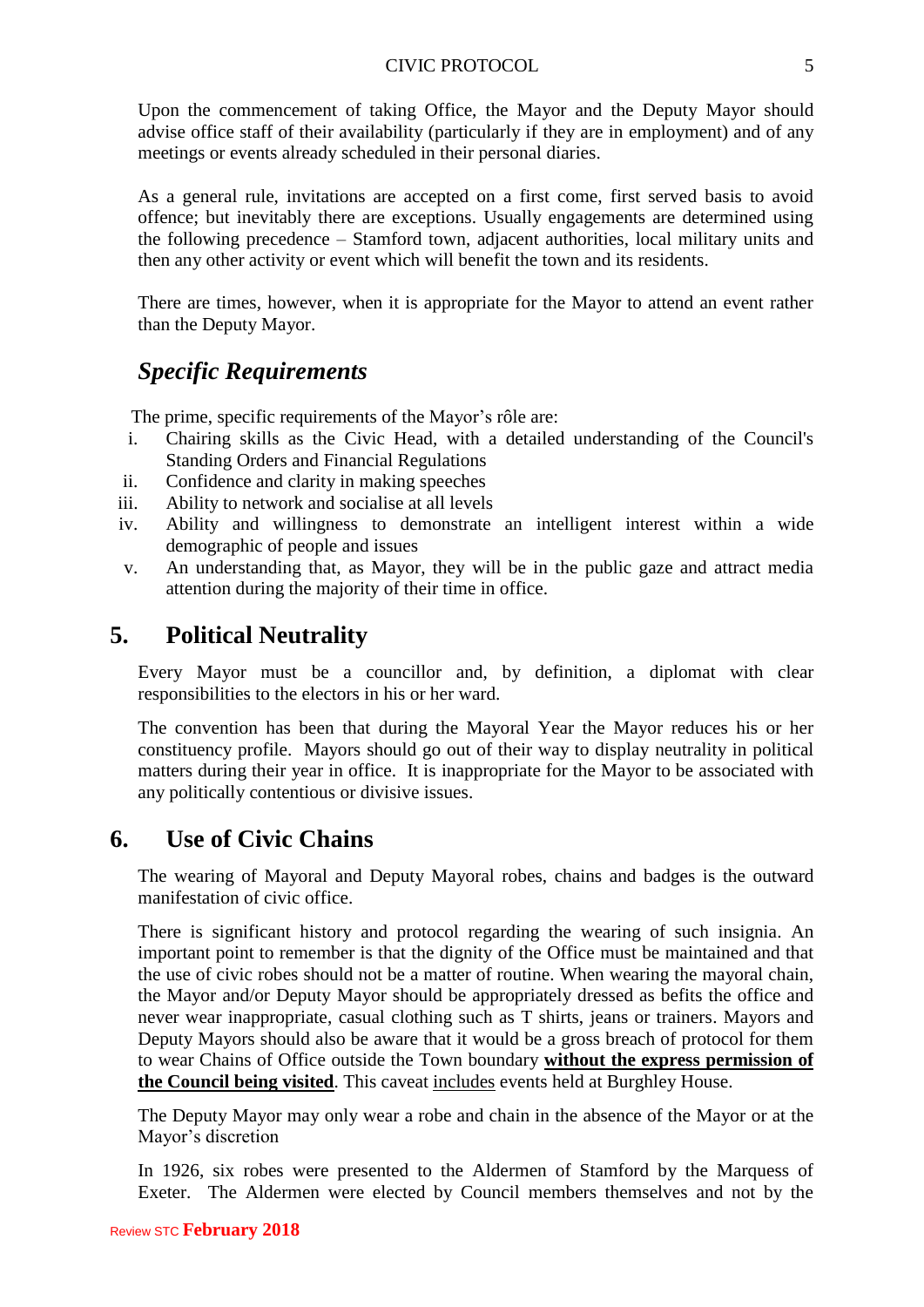Upon the commencement of taking Office, the Mayor and the Deputy Mayor should advise office staff of their availability (particularly if they are in employment) and of any meetings or events already scheduled in their personal diaries.

As a general rule, invitations are accepted on a first come, first served basis to avoid offence; but inevitably there are exceptions. Usually engagements are determined using the following precedence – Stamford town, adjacent authorities, local military units and then any other activity or event which will benefit the town and its residents.

There are times, however, when it is appropriate for the Mayor to attend an event rather than the Deputy Mayor.

# *Specific Requirements*

The prime, specific requirements of the Mayor's rôle are:

- i. Chairing skills as the Civic Head, with a detailed understanding of the Council's Standing Orders and Financial Regulations
- ii. Confidence and clarity in making speeches
- iii. Ability to network and socialise at all levels
- iv. Ability and willingness to demonstrate an intelligent interest within a wide demographic of people and issues
- v. An understanding that, as Mayor, they will be in the public gaze and attract media attention during the majority of their time in office.

### **5. Political Neutrality**

Every Mayor must be a councillor and, by definition, a diplomat with clear responsibilities to the electors in his or her ward.

The convention has been that during the Mayoral Year the Mayor reduces his or her constituency profile. Mayors should go out of their way to display neutrality in political matters during their year in office. It is inappropriate for the Mayor to be associated with any politically contentious or divisive issues.

### **6. Use of Civic Chains**

The wearing of Mayoral and Deputy Mayoral robes, chains and badges is the outward manifestation of civic office.

There is significant history and protocol regarding the wearing of such insignia. An important point to remember is that the dignity of the Office must be maintained and that the use of civic robes should not be a matter of routine. When wearing the mayoral chain, the Mayor and/or Deputy Mayor should be appropriately dressed as befits the office and never wear inappropriate, casual clothing such as T shirts, jeans or trainers. Mayors and Deputy Mayors should also be aware that it would be a gross breach of protocol for them to wear Chains of Office outside the Town boundary **without the express permission of the Council being visited**. This caveat includes events held at Burghley House.

The Deputy Mayor may only wear a robe and chain in the absence of the Mayor or at the Mayor's discretion

In 1926, six robes were presented to the Aldermen of Stamford by the Marquess of Exeter. The Aldermen were elected by Council members themselves and not by the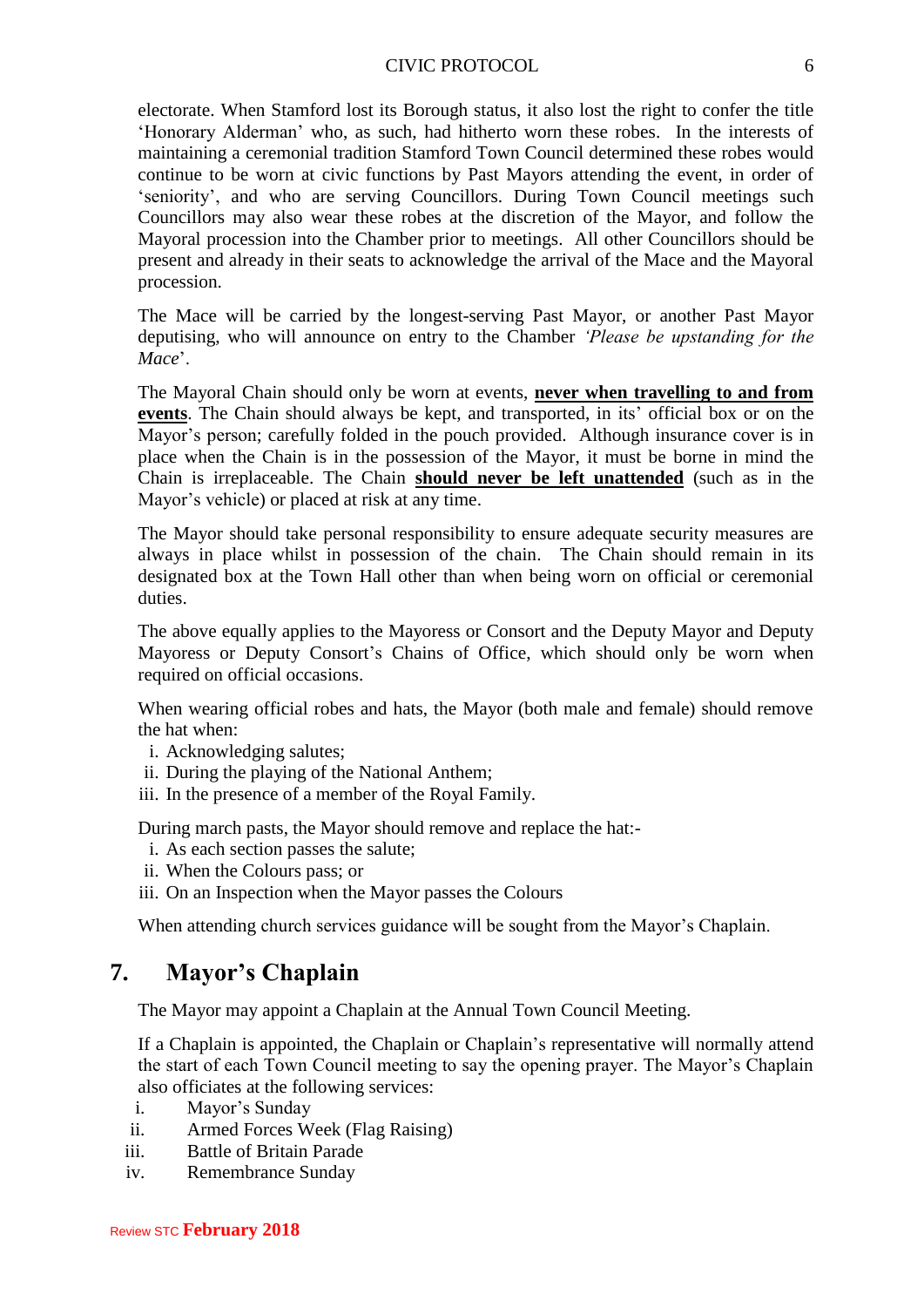electorate. When Stamford lost its Borough status, it also lost the right to confer the title 'Honorary Alderman' who, as such, had hitherto worn these robes. In the interests of maintaining a ceremonial tradition Stamford Town Council determined these robes would continue to be worn at civic functions by Past Mayors attending the event, in order of 'seniority', and who are serving Councillors. During Town Council meetings such Councillors may also wear these robes at the discretion of the Mayor, and follow the Mayoral procession into the Chamber prior to meetings. All other Councillors should be present and already in their seats to acknowledge the arrival of the Mace and the Mayoral procession.

The Mace will be carried by the longest-serving Past Mayor, or another Past Mayor deputising, who will announce on entry to the Chamber *'Please be upstanding for the Mace*'.

The Mayoral Chain should only be worn at events, **never when travelling to and from events**. The Chain should always be kept, and transported, in its' official box or on the Mayor's person; carefully folded in the pouch provided. Although insurance cover is in place when the Chain is in the possession of the Mayor, it must be borne in mind the Chain is irreplaceable. The Chain **should never be left unattended** (such as in the Mayor's vehicle) or placed at risk at any time.

The Mayor should take personal responsibility to ensure adequate security measures are always in place whilst in possession of the chain. The Chain should remain in its designated box at the Town Hall other than when being worn on official or ceremonial duties.

The above equally applies to the Mayoress or Consort and the Deputy Mayor and Deputy Mayoress or Deputy Consort's Chains of Office, which should only be worn when required on official occasions.

When wearing official robes and hats, the Mayor (both male and female) should remove the hat when:

- i. Acknowledging salutes;
- ii. During the playing of the National Anthem;
- iii. In the presence of a member of the Royal Family.

During march pasts, the Mayor should remove and replace the hat:-

- i. As each section passes the salute;
- ii. When the Colours pass; or
- iii. On an Inspection when the Mayor passes the Colours

When attending church services guidance will be sought from the Mayor's Chaplain.

### **7. Mayor's Chaplain**

The Mayor may appoint a Chaplain at the Annual Town Council Meeting.

If a Chaplain is appointed, the Chaplain or Chaplain's representative will normally attend the start of each Town Council meeting to say the opening prayer. The Mayor's Chaplain also officiates at the following services:

- i. Mayor's Sunday
- ii. Armed Forces Week (Flag Raising)
- iii. Battle of Britain Parade
- iv. Remembrance Sunday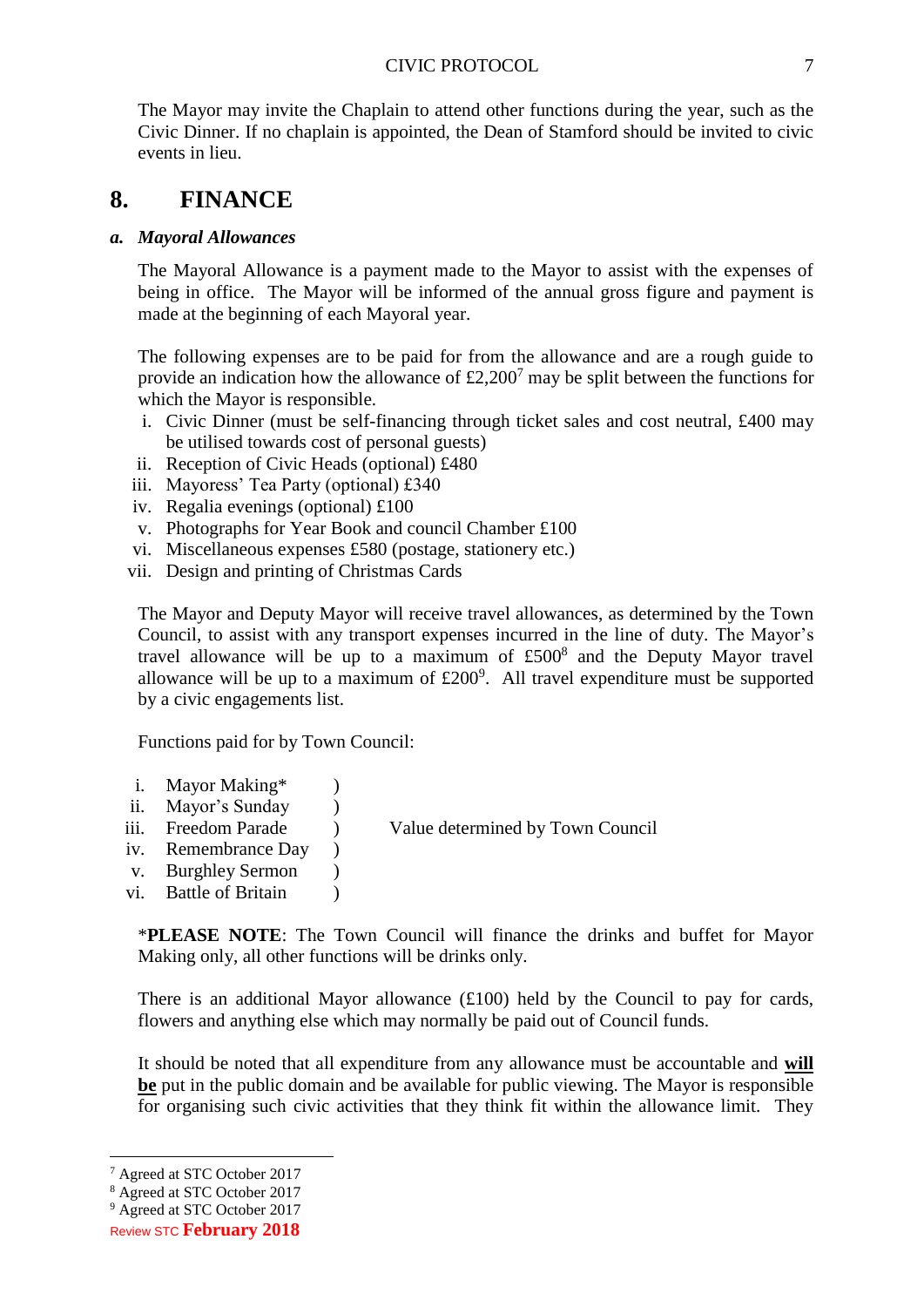The Mayor may invite the Chaplain to attend other functions during the year, such as the Civic Dinner. If no chaplain is appointed, the Dean of Stamford should be invited to civic events in lieu.

### **8. FINANCE**

#### *a. Mayoral Allowances*

The Mayoral Allowance is a payment made to the Mayor to assist with the expenses of being in office. The Mayor will be informed of the annual gross figure and payment is made at the beginning of each Mayoral year.

The following expenses are to be paid for from the allowance and are a rough guide to provide an indication how the allowance of  $\text{\pounds}2,200^7$  may be split between the functions for which the Mayor is responsible.

- i. Civic Dinner (must be self-financing through ticket sales and cost neutral, £400 may be utilised towards cost of personal guests)
- ii. Reception of Civic Heads (optional) £480
- iii. Mayoress' Tea Party (optional) £340
- iv. Regalia evenings (optional) £100
- v. Photographs for Year Book and council Chamber £100
- vi. Miscellaneous expenses £580 (postage, stationery etc.)
- vii. Design and printing of Christmas Cards

The Mayor and Deputy Mayor will receive travel allowances, as determined by the Town Council, to assist with any transport expenses incurred in the line of duty. The Mayor's travel allowance will be up to a maximum of  $£500<sup>8</sup>$  and the Deputy Mayor travel allowance will be up to a maximum of  $£200^\circ$ . All travel expenditure must be supported by a civic engagements list.

Functions paid for by Town Council:

- i. Mayor Making\* (1)
- ii. Mayor's Sunday (a)
- iii. Freedom Parade ) Value determined by Town Council
- iv. Remembrance Day )
- v. Burghley Sermon )
- vi. Battle of Britain (b)

\***PLEASE NOTE**: The Town Council will finance the drinks and buffet for Mayor Making only, all other functions will be drinks only.

There is an additional Mayor allowance  $(f100)$  held by the Council to pay for cards, flowers and anything else which may normally be paid out of Council funds.

It should be noted that all expenditure from any allowance must be accountable and **will be** put in the public domain and be available for public viewing. The Mayor is responsible for organising such civic activities that they think fit within the allowance limit. They

 $\overline{a}$ 

<sup>7</sup> Agreed at STC October 2017

<sup>8</sup> Agreed at STC October 2017

<sup>&</sup>lt;sup>9</sup> Agreed at STC October 2017

Review STC **February 2018**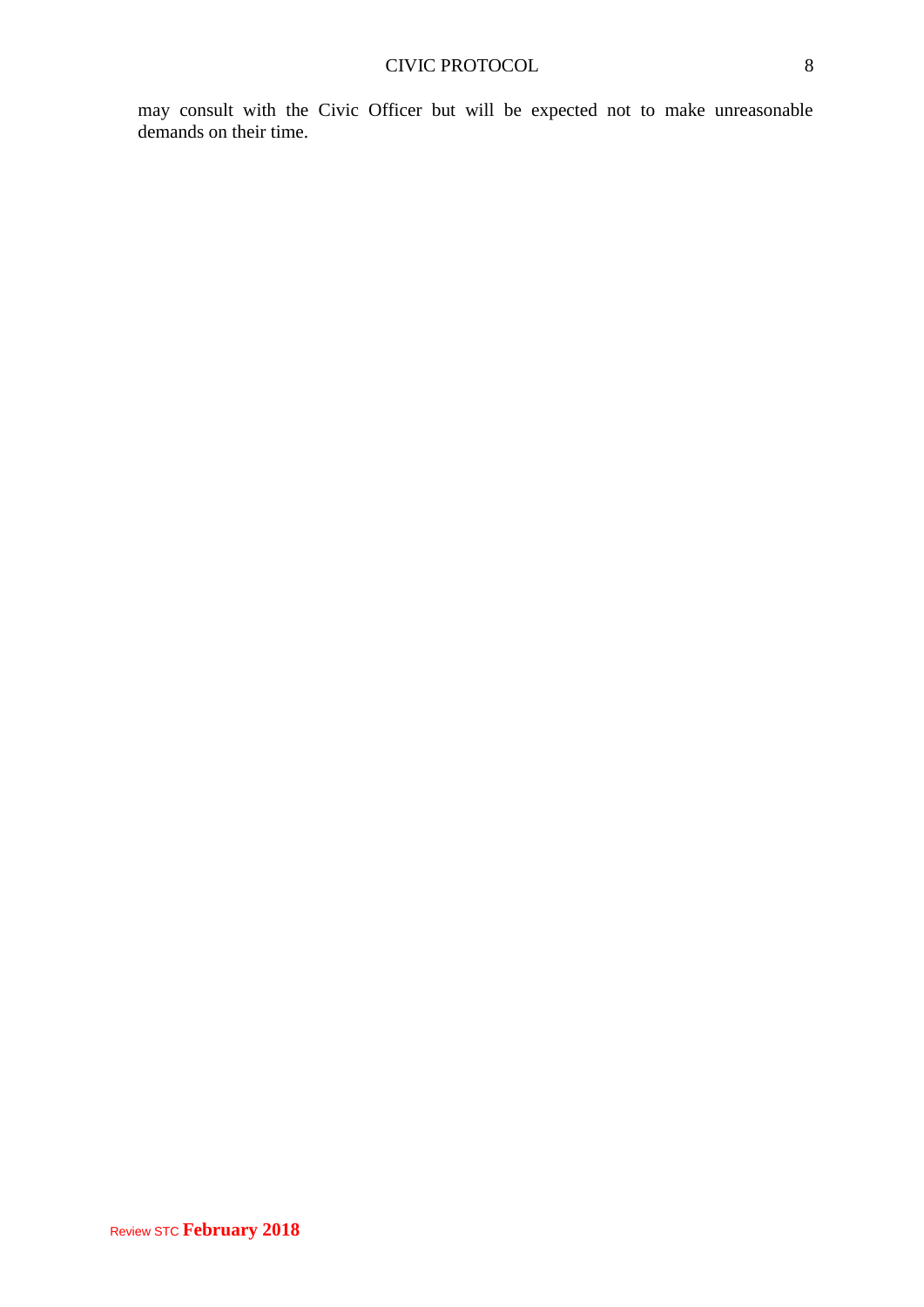may consult with the Civic Officer but will be expected not to make unreasonable demands on their time.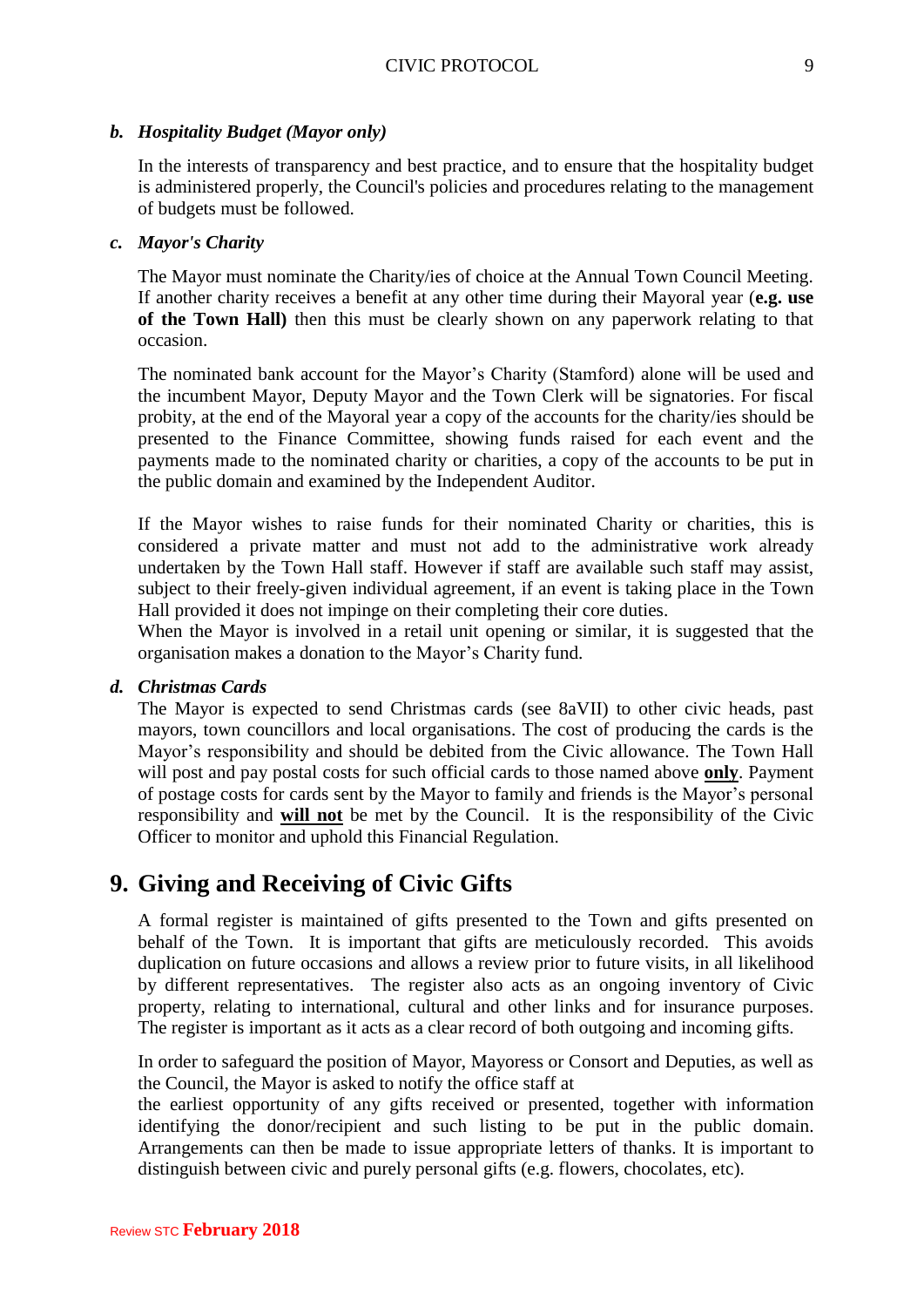#### *b. Hospitality Budget (Mayor only)*

In the interests of transparency and best practice, and to ensure that the hospitality budget is administered properly, the Council's policies and procedures relating to the management of budgets must be followed.

#### *c. Mayor's Charity*

The Mayor must nominate the Charity/ies of choice at the Annual Town Council Meeting. If another charity receives a benefit at any other time during their Mayoral year (**e.g. use of the Town Hall)** then this must be clearly shown on any paperwork relating to that occasion.

The nominated bank account for the Mayor's Charity (Stamford) alone will be used and the incumbent Mayor, Deputy Mayor and the Town Clerk will be signatories. For fiscal probity, at the end of the Mayoral year a copy of the accounts for the charity/ies should be presented to the Finance Committee, showing funds raised for each event and the payments made to the nominated charity or charities, a copy of the accounts to be put in the public domain and examined by the Independent Auditor.

If the Mayor wishes to raise funds for their nominated Charity or charities, this is considered a private matter and must not add to the administrative work already undertaken by the Town Hall staff. However if staff are available such staff may assist, subject to their freely-given individual agreement, if an event is taking place in the Town Hall provided it does not impinge on their completing their core duties.

When the Mayor is involved in a retail unit opening or similar, it is suggested that the organisation makes a donation to the Mayor's Charity fund.

#### *d. Christmas Cards*

The Mayor is expected to send Christmas cards (see 8aVII) to other civic heads, past mayors, town councillors and local organisations. The cost of producing the cards is the Mayor's responsibility and should be debited from the Civic allowance. The Town Hall will post and pay postal costs for such official cards to those named above **only**. Payment of postage costs for cards sent by the Mayor to family and friends is the Mayor's personal responsibility and **will not** be met by the Council. It is the responsibility of the Civic Officer to monitor and uphold this Financial Regulation.

### **9. Giving and Receiving of Civic Gifts**

A formal register is maintained of gifts presented to the Town and gifts presented on behalf of the Town. It is important that gifts are meticulously recorded. This avoids duplication on future occasions and allows a review prior to future visits, in all likelihood by different representatives. The register also acts as an ongoing inventory of Civic property, relating to international, cultural and other links and for insurance purposes. The register is important as it acts as a clear record of both outgoing and incoming gifts.

In order to safeguard the position of Mayor, Mayoress or Consort and Deputies, as well as the Council, the Mayor is asked to notify the office staff at

the earliest opportunity of any gifts received or presented, together with information identifying the donor/recipient and such listing to be put in the public domain. Arrangements can then be made to issue appropriate letters of thanks. It is important to distinguish between civic and purely personal gifts (e.g. flowers, chocolates, etc).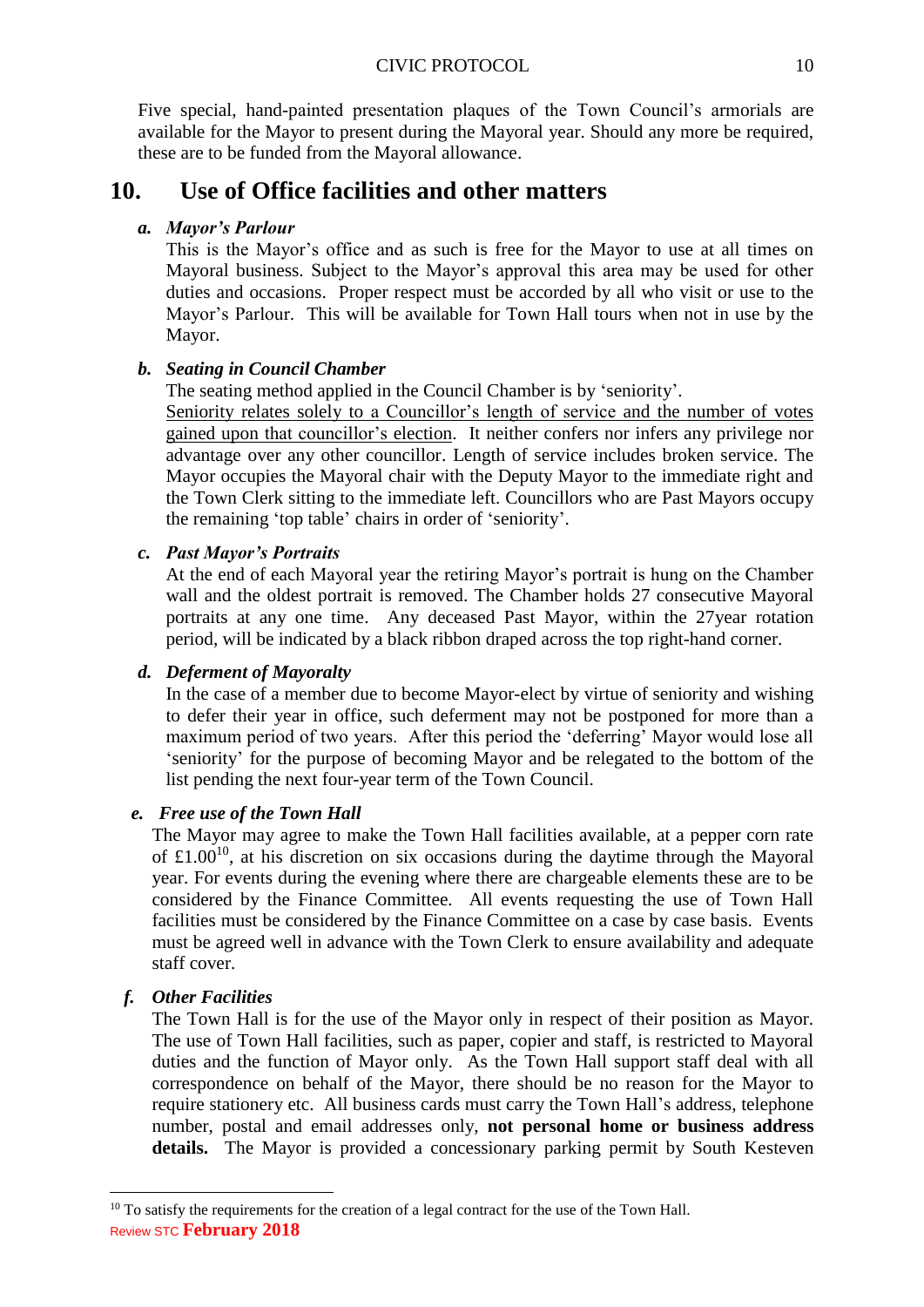Five special, hand-painted presentation plaques of the Town Council's armorials are available for the Mayor to present during the Mayoral year. Should any more be required, these are to be funded from the Mayoral allowance.

## **10. Use of Office facilities and other matters**

#### *a. Mayor's Parlour*

This is the Mayor's office and as such is free for the Mayor to use at all times on Mayoral business. Subject to the Mayor's approval this area may be used for other duties and occasions. Proper respect must be accorded by all who visit or use to the Mayor's Parlour. This will be available for Town Hall tours when not in use by the Mayor.

#### *b. Seating in Council Chamber*

The seating method applied in the Council Chamber is by 'seniority'.

Seniority relates solely to a Councillor's length of service and the number of votes gained upon that councillor's election. It neither confers nor infers any privilege nor advantage over any other councillor. Length of service includes broken service. The Mayor occupies the Mayoral chair with the Deputy Mayor to the immediate right and the Town Clerk sitting to the immediate left. Councillors who are Past Mayors occupy the remaining 'top table' chairs in order of 'seniority'.

#### *c. Past Mayor's Portraits*

At the end of each Mayoral year the retiring Mayor's portrait is hung on the Chamber wall and the oldest portrait is removed. The Chamber holds 27 consecutive Mayoral portraits at any one time. Any deceased Past Mayor, within the 27year rotation period, will be indicated by a black ribbon draped across the top right-hand corner.

#### *d. Deferment of Mayoralty*

In the case of a member due to become Mayor-elect by virtue of seniority and wishing to defer their year in office, such deferment may not be postponed for more than a maximum period of two years. After this period the 'deferring' Mayor would lose all 'seniority' for the purpose of becoming Mayor and be relegated to the bottom of the list pending the next four-year term of the Town Council.

#### *e. Free use of the Town Hall*

The Mayor may agree to make the Town Hall facilities available, at a pepper corn rate of  $\pounds1.00^{10}$ , at his discretion on six occasions during the daytime through the Mayoral year. For events during the evening where there are chargeable elements these are to be considered by the Finance Committee. All events requesting the use of Town Hall facilities must be considered by the Finance Committee on a case by case basis. Events must be agreed well in advance with the Town Clerk to ensure availability and adequate staff cover.

#### *f. Other Facilities*

 $\overline{a}$ 

The Town Hall is for the use of the Mayor only in respect of their position as Mayor. The use of Town Hall facilities, such as paper, copier and staff, is restricted to Mayoral duties and the function of Mayor only. As the Town Hall support staff deal with all correspondence on behalf of the Mayor, there should be no reason for the Mayor to require stationery etc. All business cards must carry the Town Hall's address, telephone number, postal and email addresses only, **not personal home or business address**  details. The Mayor is provided a concessionary parking permit by South Kesteven

Review STC **February 2018** <sup>10</sup> To satisfy the requirements for the creation of a legal contract for the use of the Town Hall.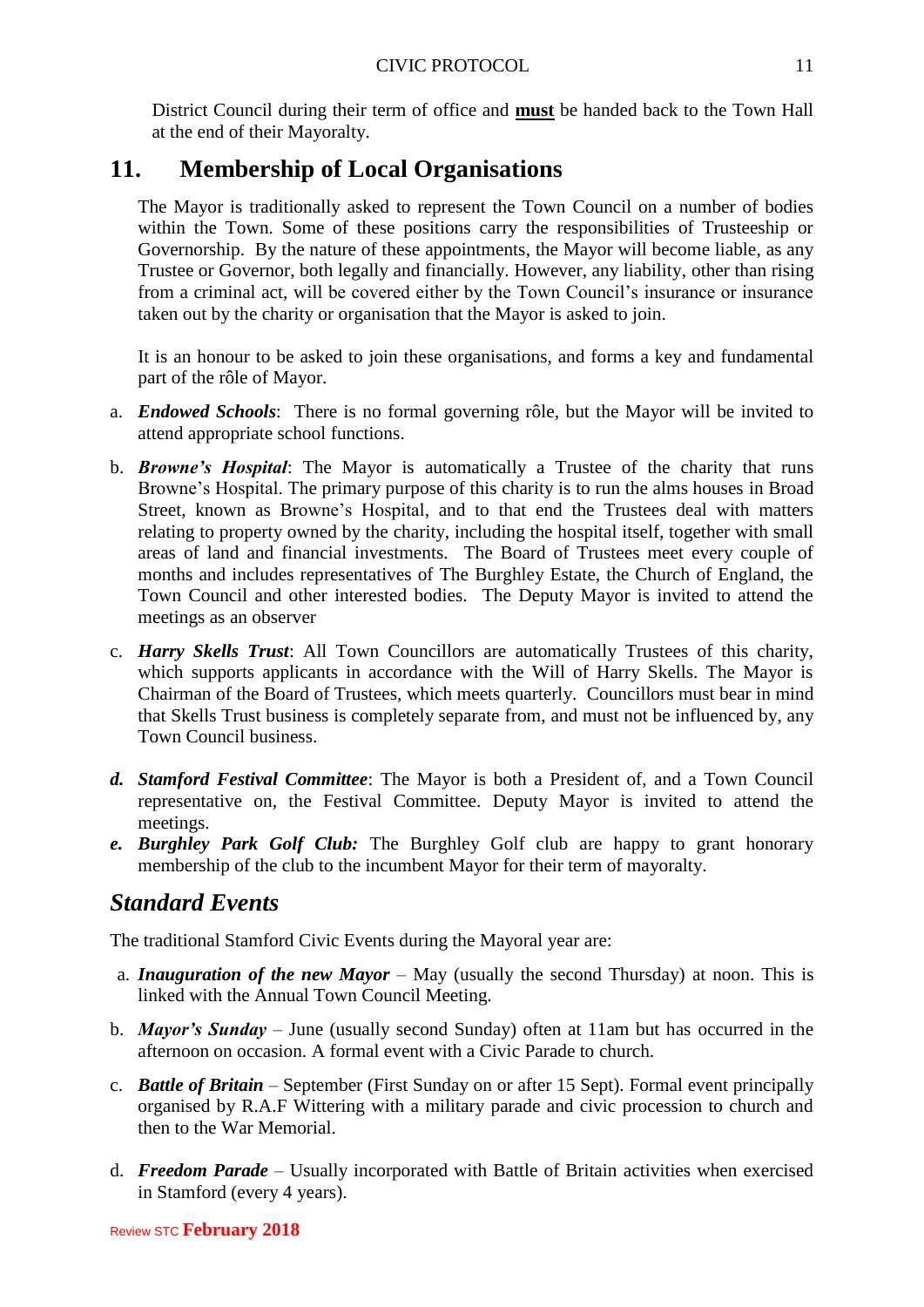District Council during their term of office and **must** be handed back to the Town Hall at the end of their Mayoralty.

# **11. Membership of Local Organisations**

The Mayor is traditionally asked to represent the Town Council on a number of bodies within the Town. Some of these positions carry the responsibilities of Trusteeship or Governorship. By the nature of these appointments, the Mayor will become liable, as any Trustee or Governor, both legally and financially. However, any liability, other than rising from a criminal act, will be covered either by the Town Council's insurance or insurance taken out by the charity or organisation that the Mayor is asked to join.

It is an honour to be asked to join these organisations, and forms a key and fundamental part of the rôle of Mayor.

- a. *Endowed Schools*: There is no formal governing rôle, but the Mayor will be invited to attend appropriate school functions.
- b. *Browne's Hospital*: The Mayor is automatically a Trustee of the charity that runs Browne's Hospital. The primary purpose of this charity is to run the alms houses in Broad Street, known as Browne's Hospital, and to that end the Trustees deal with matters relating to property owned by the charity, including the hospital itself, together with small areas of land and financial investments. The Board of Trustees meet every couple of months and includes representatives of The Burghley Estate, the Church of England, the Town Council and other interested bodies. The Deputy Mayor is invited to attend the meetings as an observer
- c. *Harry Skells Trust*: All Town Councillors are automatically Trustees of this charity, which supports applicants in accordance with the Will of Harry Skells. The Mayor is Chairman of the Board of Trustees, which meets quarterly. Councillors must bear in mind that Skells Trust business is completely separate from, and must not be influenced by, any Town Council business.
- *d. Stamford Festival Committee*: The Mayor is both a President of, and a Town Council representative on, the Festival Committee. Deputy Mayor is invited to attend the meetings.
- *e. Burghley Park Golf Club:* The Burghley Golf club are happy to grant honorary membership of the club to the incumbent Mayor for their term of mayoralty.

# *Standard Events*

The traditional Stamford Civic Events during the Mayoral year are:

- a. *Inauguration of the new Mayor* May (usually the second Thursday) at noon. This is linked with the Annual Town Council Meeting.
- b. *Mayor's Sunday* June (usually second Sunday) often at 11am but has occurred in the afternoon on occasion. A formal event with a Civic Parade to church.
- c. *Battle of Britain* September (First Sunday on or after 15 Sept). Formal event principally organised by R.A.F Wittering with a military parade and civic procession to church and then to the War Memorial.
- d. *Freedom Parade* Usually incorporated with Battle of Britain activities when exercised in Stamford (every 4 years).